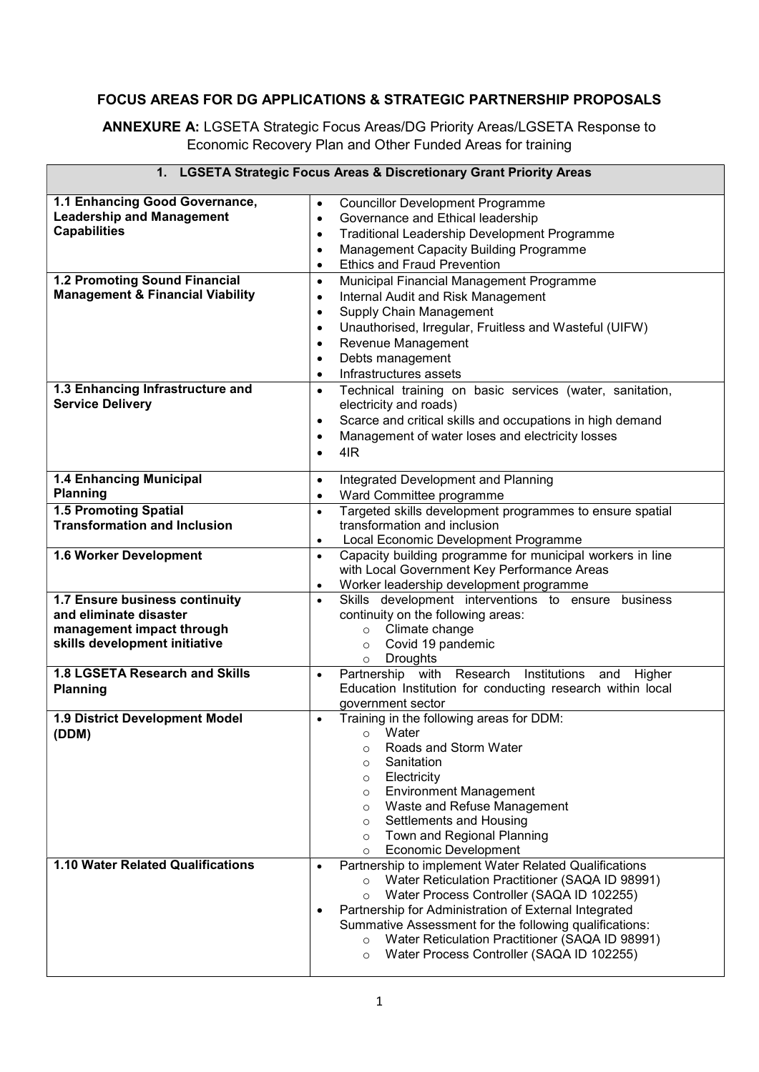## FOCUS AREAS FOR DG APPLICATIONS & STRATEGIC PARTNERSHIP PROPOSALS

ANNEXURE A: LGSETA Strategic Focus Areas/DG Priority Areas/LGSETA Response to Economic Recovery Plan and Other Funded Areas for training

|                                                                                                                        | 1. LGSETA Strategic Focus Areas & Discretionary Grant Priority Areas                                                                                                                                                                                                                                                                                                                                                              |
|------------------------------------------------------------------------------------------------------------------------|-----------------------------------------------------------------------------------------------------------------------------------------------------------------------------------------------------------------------------------------------------------------------------------------------------------------------------------------------------------------------------------------------------------------------------------|
| 1.1 Enhancing Good Governance,<br><b>Leadership and Management</b><br><b>Capabilities</b>                              | <b>Councillor Development Programme</b><br>$\bullet$<br>Governance and Ethical leadership<br>$\bullet$<br>Traditional Leadership Development Programme<br>$\bullet$<br>Management Capacity Building Programme<br>$\bullet$<br><b>Ethics and Fraud Prevention</b><br>$\bullet$                                                                                                                                                     |
| 1.2 Promoting Sound Financial<br><b>Management &amp; Financial Viability</b>                                           | Municipal Financial Management Programme<br>$\bullet$<br>Internal Audit and Risk Management<br>$\bullet$<br><b>Supply Chain Management</b><br>$\bullet$<br>Unauthorised, Irregular, Fruitless and Wasteful (UIFW)<br>$\bullet$<br>Revenue Management<br>$\bullet$<br>Debts management<br>$\bullet$<br>Infrastructures assets<br>$\bullet$                                                                                         |
| 1.3 Enhancing Infrastructure and<br><b>Service Delivery</b>                                                            | Technical training on basic services (water, sanitation,<br>$\bullet$<br>electricity and roads)<br>Scarce and critical skills and occupations in high demand<br>$\bullet$<br>Management of water loses and electricity losses<br>$\bullet$<br>4IR<br>$\bullet$                                                                                                                                                                    |
| <b>1.4 Enhancing Municipal</b><br><b>Planning</b>                                                                      | Integrated Development and Planning<br>$\bullet$<br>Ward Committee programme<br>$\bullet$                                                                                                                                                                                                                                                                                                                                         |
| <b>1.5 Promoting Spatial</b><br><b>Transformation and Inclusion</b>                                                    | Targeted skills development programmes to ensure spatial<br>$\bullet$<br>transformation and inclusion<br>Local Economic Development Programme<br>$\bullet$                                                                                                                                                                                                                                                                        |
| 1.6 Worker Development                                                                                                 | Capacity building programme for municipal workers in line<br>$\bullet$<br>with Local Government Key Performance Areas<br>Worker leadership development programme<br>$\bullet$                                                                                                                                                                                                                                                     |
| 1.7 Ensure business continuity<br>and eliminate disaster<br>management impact through<br>skills development initiative | Skills development interventions to ensure business<br>$\bullet$<br>continuity on the following areas:<br>Climate change<br>$\circ$<br>Covid 19 pandemic<br>$\circ$                                                                                                                                                                                                                                                               |
| 1.8 LGSETA Research and Skills<br><b>Planning</b>                                                                      | Droughts<br>$\circ$<br>Partnership with Research Institutions and<br>Higher<br>$\bullet$<br>Education Institution for conducting research within local<br>government sector                                                                                                                                                                                                                                                       |
| 1.9 District Development Model<br>(DDM)                                                                                | Training in the following areas for DDM:<br>$\bullet$<br>⊙ Water<br>Roads and Storm Water<br>$\circ$<br>Sanitation<br>$\circ$<br>Electricity<br>$\circ$<br><b>Environment Management</b><br>$\circ$<br>Waste and Refuse Management<br>$\circ$<br>Settlements and Housing<br>$\circ$<br>Town and Regional Planning<br>$\circ$<br>Economic Development<br>$\circ$                                                                   |
| 1.10 Water Related Qualifications                                                                                      | Partnership to implement Water Related Qualifications<br>$\bullet$<br>Water Reticulation Practitioner (SAQA ID 98991)<br>$\circ$<br>Water Process Controller (SAQA ID 102255)<br>$\circ$<br>Partnership for Administration of External Integrated<br>Summative Assessment for the following qualifications:<br>Water Reticulation Practitioner (SAQA ID 98991)<br>$\circ$<br>Water Process Controller (SAQA ID 102255)<br>$\circ$ |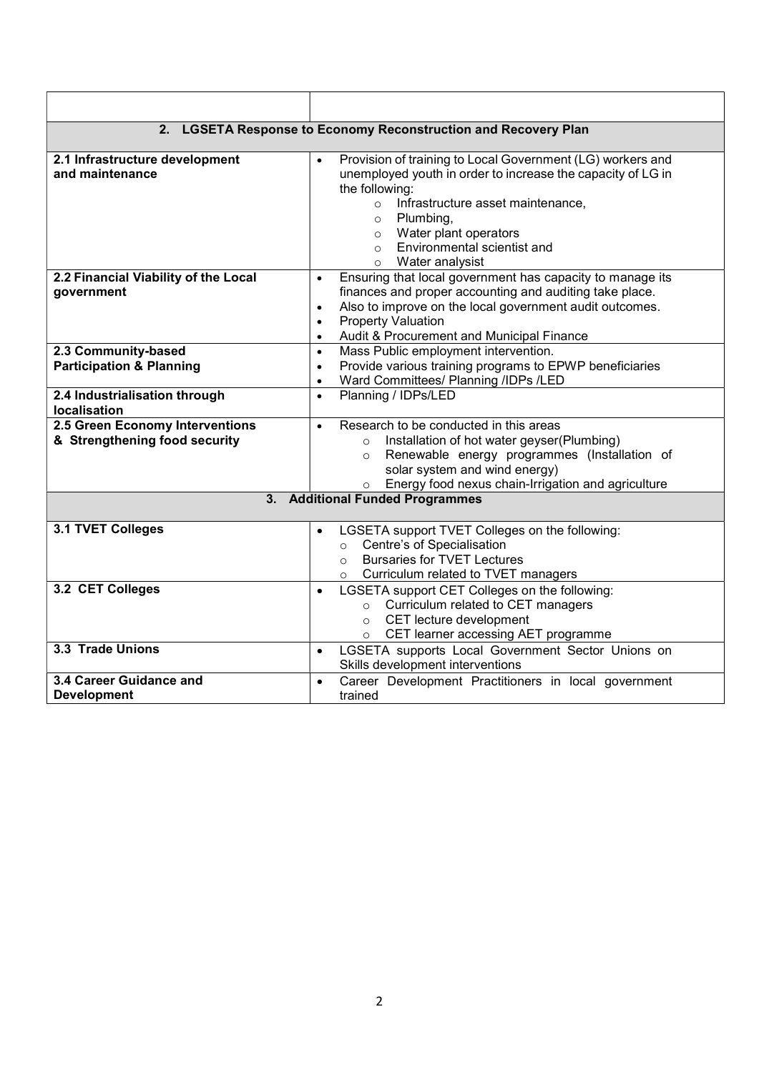|                                                                  | 2. LGSETA Response to Economy Reconstruction and Recovery Plan                                                                                                                                                                                                                                                                   |
|------------------------------------------------------------------|----------------------------------------------------------------------------------------------------------------------------------------------------------------------------------------------------------------------------------------------------------------------------------------------------------------------------------|
| 2.1 Infrastructure development<br>and maintenance                | Provision of training to Local Government (LG) workers and<br>$\bullet$<br>unemployed youth in order to increase the capacity of LG in<br>the following:<br>Infrastructure asset maintenance,<br>$\circ$<br>$\circ$ Plumbing,<br>o Water plant operators<br>Environmental scientist and<br>$\circ$<br>Water analysist<br>$\circ$ |
| 2.2 Financial Viability of the Local<br>government               | Ensuring that local government has capacity to manage its<br>$\bullet$<br>finances and proper accounting and auditing take place.<br>Also to improve on the local government audit outcomes.<br>$\bullet$<br><b>Property Valuation</b><br>$\bullet$<br>Audit & Procurement and Municipal Finance<br>$\bullet$                    |
| 2.3 Community-based<br><b>Participation &amp; Planning</b>       | Mass Public employment intervention.<br>$\bullet$<br>Provide various training programs to EPWP beneficiaries<br>$\bullet$<br>Ward Committees/ Planning /IDPs /LED<br>$\bullet$                                                                                                                                                   |
| 2.4 Industrialisation through<br>localisation                    | Planning / IDPs/LED<br>$\bullet$                                                                                                                                                                                                                                                                                                 |
| 2.5 Green Economy Interventions<br>& Strengthening food security | Research to be conducted in this areas<br>$\bullet$<br>Installation of hot water geyser(Plumbing)<br>$\circ$<br>Renewable energy programmes (Installation of<br>$\circ$<br>solar system and wind energy)<br>Energy food nexus chain-Irrigation and agriculture<br>$\circ$                                                        |
| 3.                                                               | <b>Additional Funded Programmes</b>                                                                                                                                                                                                                                                                                              |
| 3.1 TVET Colleges                                                | LGSETA support TVET Colleges on the following:<br>$\bullet$<br>Centre's of Specialisation<br>$\circ$<br><b>Bursaries for TVET Lectures</b><br>$\Omega$<br>Curriculum related to TVET managers<br>$\circ$                                                                                                                         |
| 3.2 CET Colleges                                                 | LGSETA support CET Colleges on the following:<br>$\bullet$<br>Curriculum related to CET managers<br>$\circ$<br>CET lecture development<br>$\circ$<br>CET learner accessing AET programme<br>$\circ$                                                                                                                              |
| 3.3 Trade Unions                                                 | LGSETA supports Local Government Sector Unions on<br>$\bullet$<br>Skills development interventions                                                                                                                                                                                                                               |
| 3.4 Career Guidance and<br><b>Development</b>                    | Career Development Practitioners in local government<br>$\bullet$<br>trained                                                                                                                                                                                                                                                     |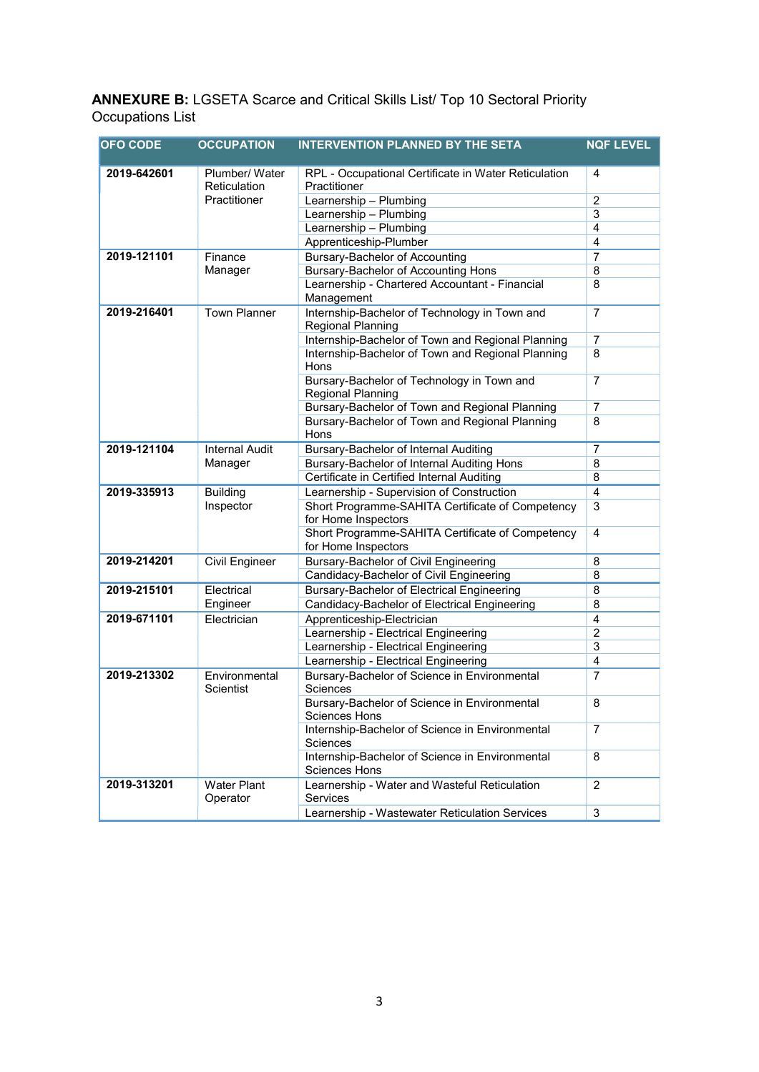ANNEXURE B: LGSETA Scarce and Critical Skills List/ Top 10 Sectoral Priority Occupations List

| <b>OFO CODE</b>                           | <b>OCCUPATION</b>              | <b>INTERVENTION PLANNED BY THE SETA</b>                                 | <b>NQF LEVEL</b> |
|-------------------------------------------|--------------------------------|-------------------------------------------------------------------------|------------------|
| 2019-642601                               | Plumber/ Water<br>Reticulation | RPL - Occupational Certificate in Water Reticulation<br>Practitioner    | 4                |
|                                           | <b>Practitioner</b>            | Learnership - Plumbing                                                  | $\overline{2}$   |
|                                           |                                | Learnership - Plumbing                                                  | 3                |
|                                           |                                | Learnership - Plumbing                                                  | $\overline{4}$   |
|                                           |                                | Apprenticeship-Plumber                                                  | 4                |
| 2019-121101                               | Finance                        | <b>Bursary-Bachelor of Accounting</b>                                   | $\overline{7}$   |
|                                           | Manager                        | <b>Bursary-Bachelor of Accounting Hons</b>                              | 8                |
|                                           |                                | Learnership - Chartered Accountant - Financial<br>Management            | 8                |
| 2019-216401                               | <b>Town Planner</b>            | Internship-Bachelor of Technology in Town and<br>Regional Planning      | $\overline{7}$   |
|                                           |                                | Internship-Bachelor of Town and Regional Planning                       | $\overline{7}$   |
|                                           |                                | Internship-Bachelor of Town and Regional Planning<br>Hons               | 8                |
|                                           |                                | Bursary-Bachelor of Technology in Town and<br><b>Regional Planning</b>  | $\overline{7}$   |
|                                           |                                | Bursary-Bachelor of Town and Regional Planning                          | 7                |
|                                           |                                | Bursary-Bachelor of Town and Regional Planning<br>Hons                  | 8                |
| 2019-121104                               | <b>Internal Audit</b>          | Bursary-Bachelor of Internal Auditing                                   | $\overline{7}$   |
|                                           | Manager                        | Bursary-Bachelor of Internal Auditing Hons                              | 8                |
|                                           |                                | Certificate in Certified Internal Auditing                              | 8                |
| 2019-335913                               | <b>Building</b>                | Learnership - Supervision of Construction                               | $\overline{4}$   |
| Inspector                                 |                                | Short Programme-SAHITA Certificate of Competency<br>for Home Inspectors | 3                |
|                                           |                                | Short Programme-SAHITA Certificate of Competency<br>for Home Inspectors | 4                |
| 2019-214201                               | Civil Engineer                 | <b>Bursary-Bachelor of Civil Engineering</b>                            | 8                |
|                                           |                                | Candidacy-Bachelor of Civil Engineering                                 | 8                |
| 2019-215101                               | Electrical                     | Bursary-Bachelor of Electrical Engineering                              | 8                |
|                                           | Engineer                       | Candidacy-Bachelor of Electrical Engineering                            | 8                |
| 2019-671101                               | Electrician                    | Apprenticeship-Electrician                                              | $\overline{4}$   |
|                                           |                                | Learnership - Electrical Engineering                                    | $\overline{2}$   |
|                                           |                                | Learnership - Electrical Engineering                                    | 3                |
|                                           |                                | Learnership - Electrical Engineering                                    | 4                |
| 2019-213302<br>Environmental<br>Scientist |                                | Bursary-Bachelor of Science in Environmental<br>Sciences                | $\overline{7}$   |
|                                           |                                | Bursary-Bachelor of Science in Environmental<br><b>Sciences Hons</b>    | 8                |
|                                           |                                | Internship-Bachelor of Science in Environmental<br>Sciences             | 7                |
|                                           |                                | Internship-Bachelor of Science in Environmental<br><b>Sciences Hons</b> | 8                |
| 2019-313201                               | Water Plant<br>Operator        | Learnership - Water and Wasteful Reticulation<br><b>Services</b>        | 2                |
|                                           |                                | Learnership - Wastewater Reticulation Services                          | 3                |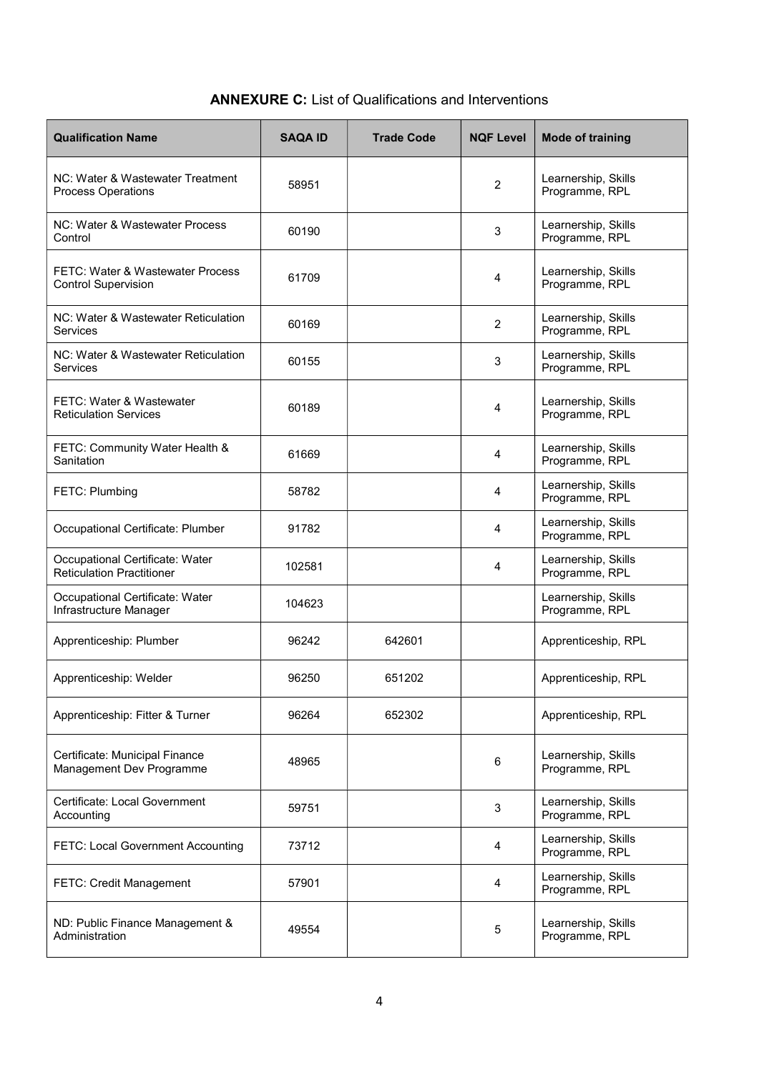## ANNEXURE C: List of Qualifications and Interventions

| <b>Qualification Name</b>                                           | <b>SAQA ID</b> | <b>Trade Code</b> | <b>NQF Level</b> | <b>Mode of training</b>               |
|---------------------------------------------------------------------|----------------|-------------------|------------------|---------------------------------------|
| NC: Water & Wastewater Treatment<br><b>Process Operations</b>       | 58951          |                   | $\overline{2}$   | Learnership, Skills<br>Programme, RPL |
| NC: Water & Wastewater Process<br>Control                           | 60190          |                   | 3                | Learnership, Skills<br>Programme, RPL |
| FETC: Water & Wastewater Process<br><b>Control Supervision</b>      | 61709          |                   | 4                | Learnership, Skills<br>Programme, RPL |
| NC: Water & Wastewater Reticulation<br><b>Services</b>              | 60169          |                   | $\overline{2}$   | Learnership, Skills<br>Programme, RPL |
| NC: Water & Wastewater Reticulation<br>Services                     | 60155          |                   | 3                | Learnership, Skills<br>Programme, RPL |
| FETC: Water & Wastewater<br><b>Reticulation Services</b>            | 60189          |                   | 4                | Learnership, Skills<br>Programme, RPL |
| FETC: Community Water Health &<br>Sanitation                        | 61669          |                   | 4                | Learnership, Skills<br>Programme, RPL |
| <b>FETC: Plumbing</b>                                               | 58782          |                   | 4                | Learnership, Skills<br>Programme, RPL |
| Occupational Certificate: Plumber                                   | 91782          |                   | 4                | Learnership, Skills<br>Programme, RPL |
| Occupational Certificate: Water<br><b>Reticulation Practitioner</b> | 102581         |                   | 4                | Learnership, Skills<br>Programme, RPL |
| Occupational Certificate: Water<br>Infrastructure Manager           | 104623         |                   |                  | Learnership, Skills<br>Programme, RPL |
| Apprenticeship: Plumber                                             | 96242          | 642601            |                  | Apprenticeship, RPL                   |
| Apprenticeship: Welder                                              | 96250          | 651202            |                  | Apprenticeship, RPL                   |
| Apprenticeship: Fitter & Turner                                     | 96264          | 652302            |                  | Apprenticeship, RPL                   |
| Certificate: Municipal Finance<br>Management Dev Programme          | 48965          |                   | 6                | Learnership, Skills<br>Programme, RPL |
| Certificate: Local Government<br>Accounting                         | 59751          |                   | 3                | Learnership, Skills<br>Programme, RPL |
| FETC: Local Government Accounting                                   | 73712          |                   | 4                | Learnership, Skills<br>Programme, RPL |
| FETC: Credit Management                                             | 57901          |                   | 4                | Learnership, Skills<br>Programme, RPL |
| ND: Public Finance Management &<br>Administration                   | 49554          |                   | 5                | Learnership, Skills<br>Programme, RPL |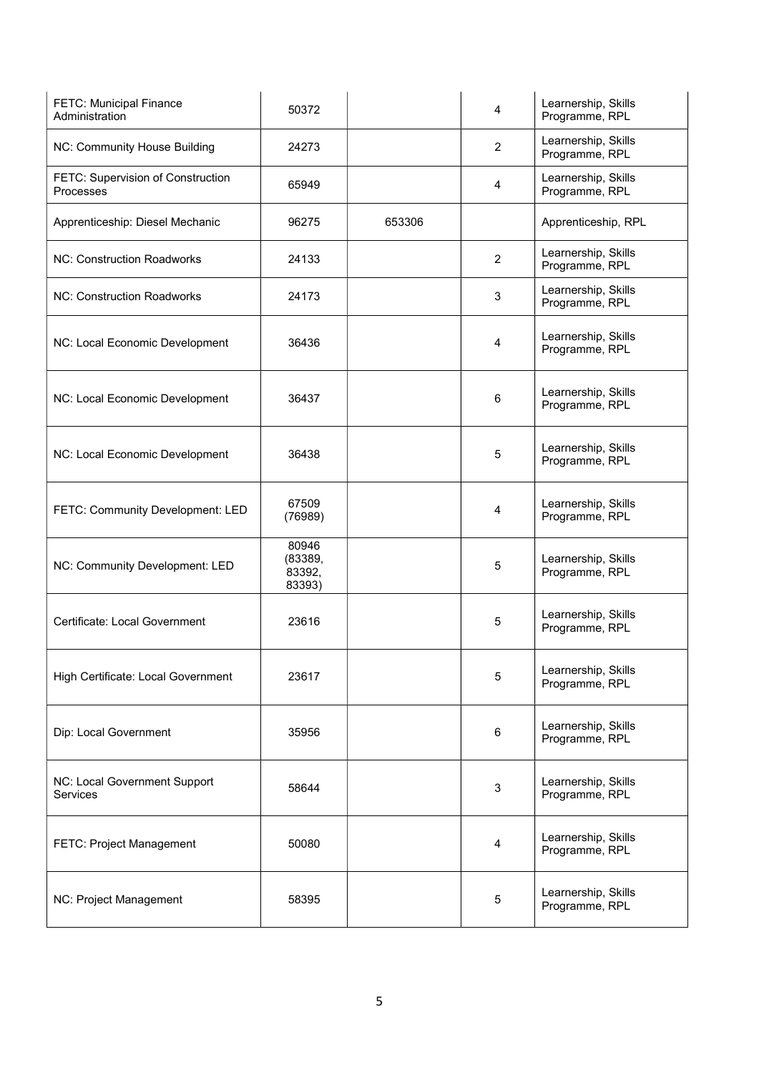| <b>FETC: Municipal Finance</b><br>Administration | 50372                                |        | 4              | Learnership, Skills<br>Programme, RPL |
|--------------------------------------------------|--------------------------------------|--------|----------------|---------------------------------------|
| NC: Community House Building                     | 24273                                |        | $\overline{2}$ | Learnership, Skills<br>Programme, RPL |
| FETC: Supervision of Construction<br>Processes   | 65949                                |        | 4              | Learnership, Skills<br>Programme, RPL |
| Apprenticeship: Diesel Mechanic                  | 96275                                | 653306 |                | Apprenticeship, RPL                   |
| <b>NC: Construction Roadworks</b>                | 24133                                |        | $\overline{2}$ | Learnership, Skills<br>Programme, RPL |
| <b>NC: Construction Roadworks</b>                | 24173                                |        | 3              | Learnership, Skills<br>Programme, RPL |
| NC: Local Economic Development                   | 36436                                |        | $\overline{4}$ | Learnership, Skills<br>Programme, RPL |
| NC: Local Economic Development                   | 36437                                |        | 6              | Learnership, Skills<br>Programme, RPL |
| NC: Local Economic Development                   | 36438                                |        | 5              | Learnership, Skills<br>Programme, RPL |
| FETC: Community Development: LED                 | 67509<br>(76989)                     |        | 4              | Learnership, Skills<br>Programme, RPL |
| NC: Community Development: LED                   | 80946<br>(83389,<br>83392,<br>83393) |        | 5              | Learnership, Skills<br>Programme, RPL |
| Certificate: Local Government                    | 23616                                |        | 5              | Learnership, Skills<br>Programme, RPL |
| High Certificate: Local Government               | 23617                                |        | 5              | Learnership, Skills<br>Programme, RPL |
| Dip: Local Government                            | 35956                                |        | $\,6\,$        | Learnership, Skills<br>Programme, RPL |
| NC: Local Government Support<br><b>Services</b>  | 58644                                |        | 3              | Learnership, Skills<br>Programme, RPL |
| FETC: Project Management                         | 50080                                |        | $\overline{4}$ | Learnership, Skills<br>Programme, RPL |
| NC: Project Management                           | 58395                                |        | $\mathbf 5$    | Learnership, Skills<br>Programme, RPL |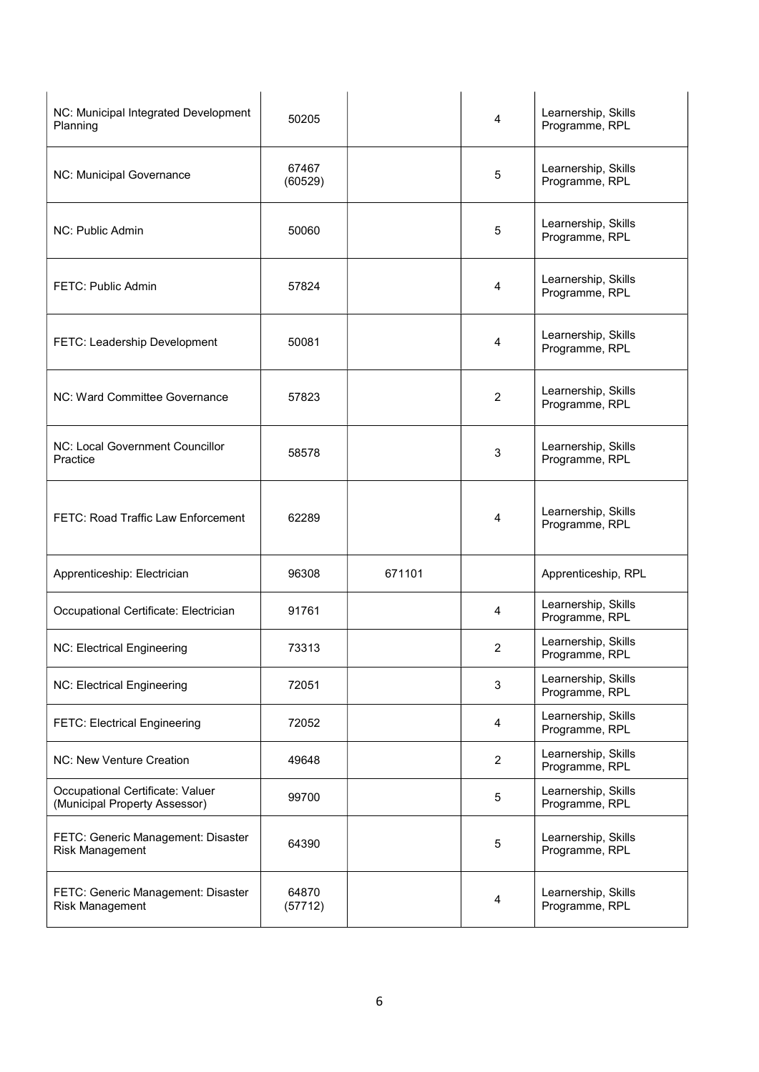| NC: Municipal Integrated Development<br>Planning                  | 50205            |        | 4              | Learnership, Skills<br>Programme, RPL |
|-------------------------------------------------------------------|------------------|--------|----------------|---------------------------------------|
| NC: Municipal Governance                                          | 67467<br>(60529) |        | 5              | Learnership, Skills<br>Programme, RPL |
| NC: Public Admin                                                  | 50060            |        | 5              | Learnership, Skills<br>Programme, RPL |
| FETC: Public Admin                                                | 57824            |        | 4              | Learnership, Skills<br>Programme, RPL |
| FETC: Leadership Development                                      | 50081            |        | 4              | Learnership, Skills<br>Programme, RPL |
| NC: Ward Committee Governance                                     | 57823            |        | 2              | Learnership, Skills<br>Programme, RPL |
| NC: Local Government Councillor<br>Practice                       | 58578            |        | 3              | Learnership, Skills<br>Programme, RPL |
| FETC: Road Traffic Law Enforcement                                | 62289            |        | 4              | Learnership, Skills<br>Programme, RPL |
| Apprenticeship: Electrician                                       | 96308            | 671101 |                | Apprenticeship, RPL                   |
| Occupational Certificate: Electrician                             | 91761            |        | 4              | Learnership, Skills<br>Programme, RPL |
| NC: Electrical Engineering                                        | 73313            |        | 2              | Learnership, Skills<br>Programme, RPL |
| NC: Electrical Engineering                                        | 72051            |        | 3              | Learnership, Skills<br>Programme, RPL |
| <b>FETC: Electrical Engineering</b>                               | 72052            |        | 4              | Learnership, Skills<br>Programme, RPL |
| NC: New Venture Creation                                          | 49648            |        | $\overline{2}$ | Learnership, Skills<br>Programme, RPL |
| Occupational Certificate: Valuer<br>(Municipal Property Assessor) | 99700            |        | $\sqrt{5}$     | Learnership, Skills<br>Programme, RPL |
| FETC: Generic Management: Disaster<br>Risk Management             | 64390            |        | 5              | Learnership, Skills<br>Programme, RPL |
| FETC: Generic Management: Disaster<br>Risk Management             | 64870<br>(57712) |        | 4              | Learnership, Skills<br>Programme, RPL |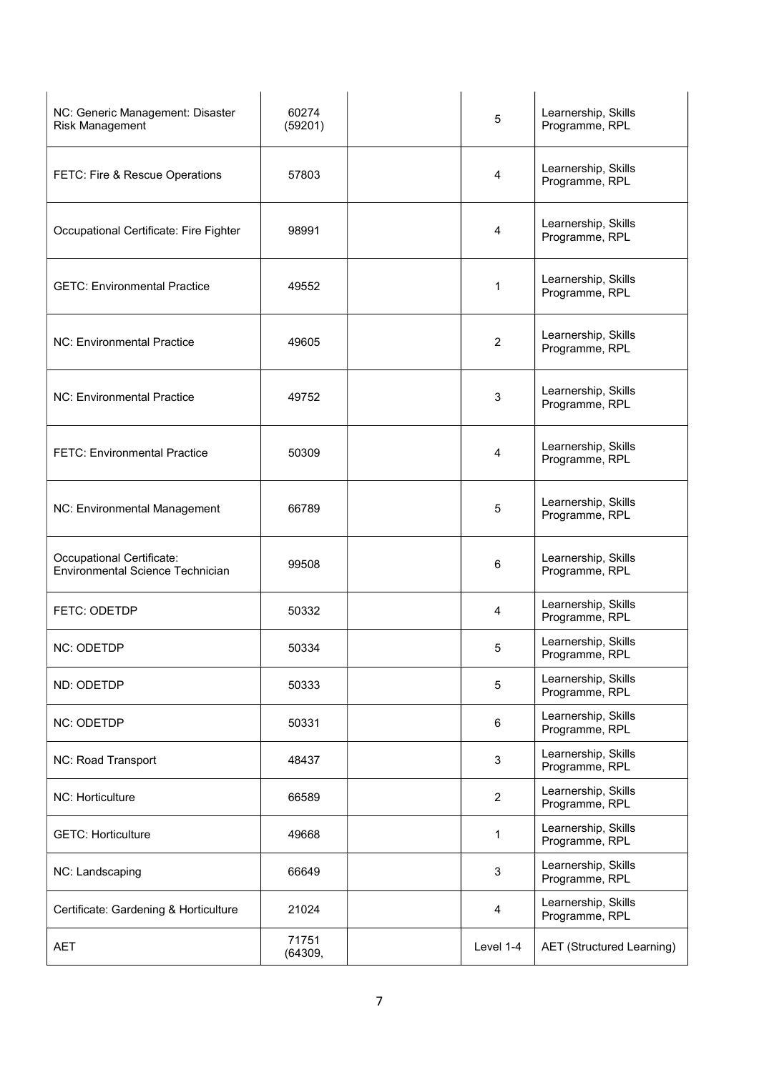| NC: Generic Management: Disaster<br>Risk Management           | 60274<br>(59201) | 5              | Learnership, Skills<br>Programme, RPL |
|---------------------------------------------------------------|------------------|----------------|---------------------------------------|
| FETC: Fire & Rescue Operations                                | 57803            | 4              | Learnership, Skills<br>Programme, RPL |
| Occupational Certificate: Fire Fighter                        | 98991            | 4              | Learnership, Skills<br>Programme, RPL |
| <b>GETC: Environmental Practice</b>                           | 49552            | 1              | Learnership, Skills<br>Programme, RPL |
| <b>NC: Environmental Practice</b>                             | 49605            | 2              | Learnership, Skills<br>Programme, RPL |
| NC: Environmental Practice                                    | 49752            | 3              | Learnership, Skills<br>Programme, RPL |
| <b>FETC: Environmental Practice</b>                           | 50309            | 4              | Learnership, Skills<br>Programme, RPL |
| NC: Environmental Management                                  | 66789            | 5              | Learnership, Skills<br>Programme, RPL |
| Occupational Certificate:<br>Environmental Science Technician | 99508            | 6              | Learnership, Skills<br>Programme, RPL |
| <b>FETC: ODETDP</b>                                           | 50332            | 4              | Learnership, Skills<br>Programme, RPL |
| <b>NC: ODETDP</b>                                             | 50334            | 5              | Learnership, Skills<br>Programme, RPL |
| ND: ODETDP                                                    | 50333            | 5              | Learnership, Skills<br>Programme, RPL |
| <b>NC: ODETDP</b>                                             | 50331            | 6              | Learnership, Skills<br>Programme, RPL |
| NC: Road Transport                                            | 48437            | 3              | Learnership, Skills<br>Programme, RPL |
| NC: Horticulture                                              | 66589            | $\overline{c}$ | Learnership, Skills<br>Programme, RPL |
| <b>GETC: Horticulture</b>                                     | 49668            | 1              | Learnership, Skills<br>Programme, RPL |
| NC: Landscaping                                               | 66649            | 3              | Learnership, Skills<br>Programme, RPL |
| Certificate: Gardening & Horticulture                         | 21024            | 4              | Learnership, Skills<br>Programme, RPL |
| <b>AET</b>                                                    | 71751<br>(64309, | Level 1-4      | <b>AET</b> (Structured Learning)      |